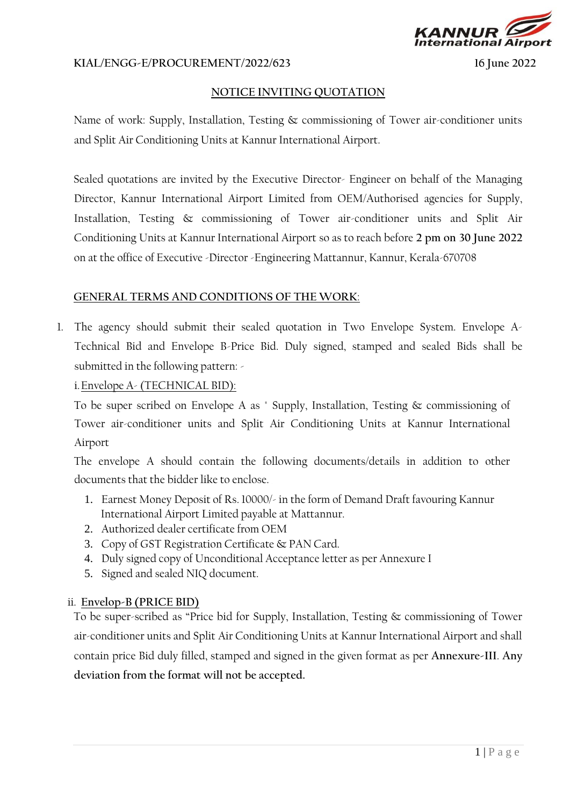

#### **KIAL/ENGG-E/PROCUREMENT/2022/623 16 June 2022**

#### **NOTICE INVITING QUOTATION**

Name of work: Supply, Installation, Testing & commissioning of Tower air-conditioner units and Split Air Conditioning Units at Kannur International Airport.

Sealed quotations are invited by the Executive Director- Engineer on behalf of the Managing Director, Kannur International Airport Limited from OEM/Authorised agencies for Supply, Installation, Testing & commissioning of Tower air-conditioner units and Split Air Conditioning Units at Kannur International Airport so as to reach before **2 pm on 30 June 2022** on at the office of Executive -Director -Engineering Mattannur, Kannur, Kerala-670708

## **GENERAL TERMS AND CONDITIONS OF THE WORK**:

1. The agency should submit their sealed quotation in Two Envelope System. Envelope A-Technical Bid and Envelope B-Price Bid. Duly signed, stamped and sealed Bids shall be submitted in the following pattern: -

## i.Envelope A- (TECHNICAL BID):

To be super scribed on Envelope A as " Supply, Installation, Testing & commissioning of Tower air-conditioner units and Split Air Conditioning Units at Kannur International Airport

The envelope A should contain the following documents/details in addition to other documents that the bidder like to enclose.

- 1. Earnest Money Deposit of Rs. 10000/- in the form of Demand Draft favouring Kannur International Airport Limited payable at Mattannur.
- 2. Authorized dealer certificate from OEM
- 3. Copy of GST Registration Certificate & PAN Card.
- 4. Duly signed copy of Unconditional Acceptance letter as per Annexure I
- 5. Signed and sealed NIQ document.

# ii. **Envelop-B (PRICE BID)**

To be super-scribed as "Price bid for Supply, Installation, Testing & commissioning of Tower air-conditioner units and Split Air Conditioning Units at Kannur International Airport and shall contain price Bid duly filled, stamped and signed in the given format as per **Annexure-III**. **Any deviation from the format will not be accepted.**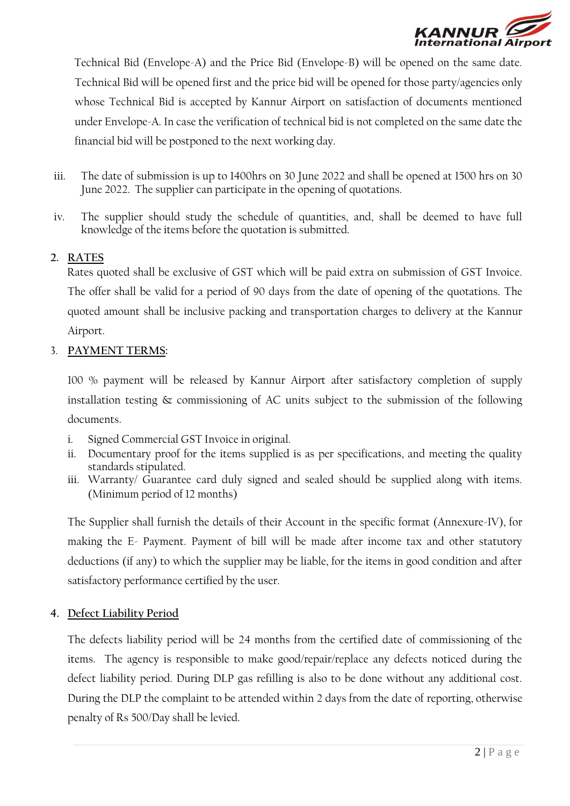

Technical Bid (Envelope-A) and the Price Bid (Envelope-B) will be opened on the same date. Technical Bid will be opened first and the price bid will be opened for those party/agencies only whose Technical Bid is accepted by Kannur Airport on satisfaction of documents mentioned under Envelope-A. In case the verification of technical bid is not completed on the same date the financial bid will be postponed to the next working day.

- iii. The date of submission is up to 1400hrs on 30 June 2022 and shall be opened at 1500 hrs on 30 June 2022. The supplier can participate in the opening of quotations.
- iv. The supplier should study the schedule of quantities, and, shall be deemed to have full knowledge of the items before the quotation is submitted.

# **2. RATES**

Rates quoted shall be exclusive of GST which will be paid extra on submission of GST Invoice. The offer shall be valid for a period of 90 days from the date of opening of the quotations. The quoted amount shall be inclusive packing and transportation charges to delivery at the Kannur Airport.

## 3. **PAYMENT TERMS:**

100 % payment will be released by Kannur Airport after satisfactory completion of supply installation testing & commissioning of AC units subject to the submission of the following documents.

- i. Signed Commercial GST Invoice in original.
- ii. Documentary proof for the items supplied is as per specifications, and meeting the quality standards stipulated.
- iii. Warranty/ Guarantee card duly signed and sealed should be supplied along with items. (Minimum period of 12 months)

The Supplier shall furnish the details of their Account in the specific format (Annexure-IV), for making the E- Payment. Payment of bill will be made after income tax and other statutory deductions (if any) to which the supplier may be liable, for the items in good condition and after satisfactory performance certified by the user.

#### **4. Defect Liability Period**

The defects liability period will be 24 months from the certified date of commissioning of the items. The agency is responsible to make good/repair/replace any defects noticed during the defect liability period. During DLP gas refilling is also to be done without any additional cost. During the DLP the complaint to be attended within 2 days from the date of reporting, otherwise penalty of Rs 500/Day shall be levied.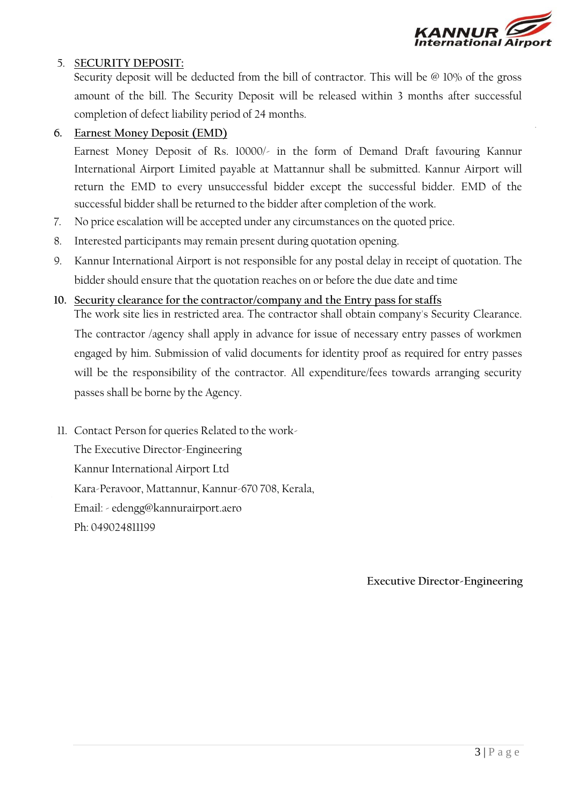

# 5. S**ECURITY DEPOSIT:**

Security deposit will be deducted from the bill of contractor. This will be @ 10% of the gross amount of the bill. The Security Deposit will be released within 3 months after successful completion of defect liability period of 24 months.

## **6. Earnest Money Deposit (EMD)**

Earnest Money Deposit of Rs. 10000/- in the form of Demand Draft favouring Kannur International Airport Limited payable at Mattannur shall be submitted. Kannur Airport will return the EMD to every unsuccessful bidder except the successful bidder. EMD of the successful bidder shall be returned to the bidder after completion of the work.

- 7. No price escalation will be accepted under any circumstances on the quoted price.
- 8. Interested participants may remain present during quotation opening.
- 9. Kannur International Airport is not responsible for any postal delay in receipt of quotation. The bidder should ensure that the quotation reaches on or before the due date and time

#### **10. Security clearance for the contractor/company and the Entry pass for staffs**

The work site lies in restricted area. The contractor shall obtain company's Security Clearance. The contractor /agency shall apply in advance for issue of necessary entry passes of workmen engaged by him. Submission of valid documents for identity proof as required for entry passes will be the responsibility of the contractor. All expenditure/fees towards arranging security passes shall be borne by the Agency.

11. Contact Person for queries Related to the work-

The Executive Director-Engineering Kannur International Airport Ltd Kara-Peravoor, Mattannur, Kannur-670 708, Kerala, Email: - edengg@kannurairport.aero Ph: 049024811199

**Executive Director-Engineering**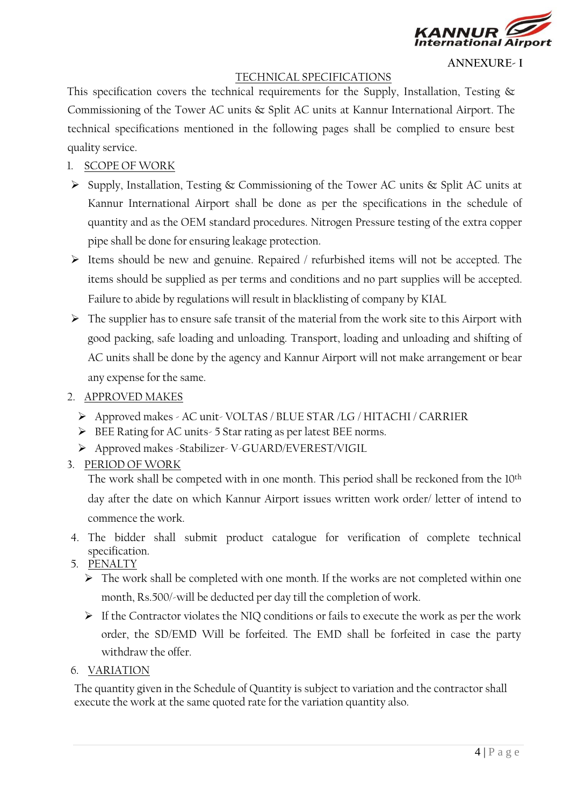

**ANNEXURE- I**

#### TECHNICAL SPECIFICATIONS

This specification covers the technical requirements for the Supply, Installation, Testing  $\&$ Commissioning of the Tower AC units & Split AC units at Kannur International Airport. The technical specifications mentioned in the following pages shall be complied to ensure best quality service.

# 1. SCOPE OF WORK

- ➢ Supply, Installation, Testing & Commissioning of the Tower AC units & Split AC units at Kannur International Airport shall be done as per the specifications in the schedule of quantity and as the OEM standard procedures. Nitrogen Pressure testing of the extra copper pipe shall be done for ensuring leakage protection.
- ➢ Items should be new and genuine. Repaired / refurbished items will not be accepted. The items should be supplied as per terms and conditions and no part supplies will be accepted. Failure to abide by regulations will result in blacklisting of company by KIAL
- ➢ The supplier has to ensure safe transit of the material from the work site to this Airport with good packing, safe loading and unloading. Transport, loading and unloading and shifting of AC units shall be done by the agency and Kannur Airport will not make arrangement or bear any expense for the same.

## 2. APPROVED MAKES

- ➢ Approved makes AC unit- VOLTAS / BLUE STAR /LG / HITACHI / CARRIER
- ➢ BEE Rating for AC units- 5 Star rating as per latest BEE norms.
- ➢ Approved makes -Stabilizer- V-GUARD/EVEREST/VIGIL

# 3. PERIOD OF WORK

The work shall be competed with in one month. This period shall be reckoned from the 10th day after the date on which Kannur Airport issues written work order/ letter of intend to commence the work.

- 4. The bidder shall submit product catalogue for verification of complete technical specification.
- 5. PENALTY
	- ➢ The work shall be completed with one month. If the works are not completed within one month, Rs.500/-will be deducted per day till the completion of work.
	- ➢ If the Contractor violates the NIQ conditions or fails to execute the work as per the work order, the SD/EMD Will be forfeited. The EMD shall be forfeited in case the party withdraw the offer.

#### 6. VARIATION

The quantity given in the Schedule of Quantity is subject to variation and the contractor shall execute the work at the same quoted rate for the variation quantity also.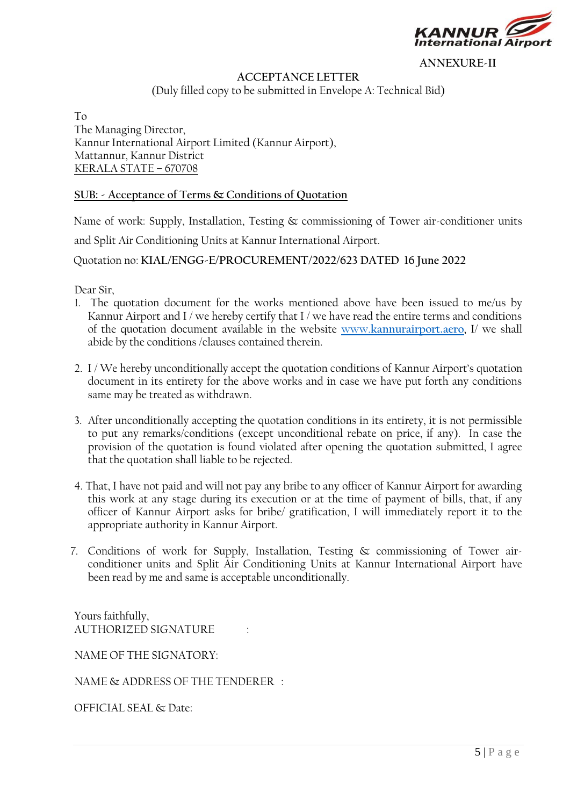

**ANNEXURE-II**

# **ACCEPTANCE LETTER**

(Duly filled copy to be submitted in Envelope A: Technical Bid)

To The Managing Director, Kannur International Airport Limited (Kannur Airport), Mattannur, Kannur District KERALA STATE – 670708

#### **SUB: - Acceptance of Terms & Conditions of Quotation**

Name of work: Supply, Installation, Testing & commissioning of Tower air-conditioner units

and Split Air Conditioning Units at Kannur International Airport.

Quotation no: **KIAL/ENGG-E/PROCUREMENT/2022/623 DATED 16 June 2022**

Dear Sir,

- 1. The quotation document for the works mentioned above have been issued to me/us by Kannur Airport and I / we hereby certify that I / we have read the entire terms and conditions of the quotation document available in the website [www.](http://www.kannurairport./)**[kannurairport.a](http://www.kannurairport./)ero**, I/ we shall abide by the conditions /clauses contained therein.
- 2. I / We hereby unconditionally accept the quotation conditions of Kannur Airport's quotation document in its entirety for the above works and in case we have put forth any conditions same may be treated as withdrawn.
- 3. After unconditionally accepting the quotation conditions in its entirety, it is not permissible to put any remarks/conditions (except unconditional rebate on price, if any). In case the provision of the quotation is found violated after opening the quotation submitted, I agree that the quotation shall liable to be rejected.
- 4. That, I have not paid and will not pay any bribe to any officer of Kannur Airport for awarding this work at any stage during its execution or at the time of payment of bills, that, if any officer of Kannur Airport asks for bribe/ gratification, I will immediately report it to the appropriate authority in Kannur Airport.
- 7. Conditions of work for Supply, Installation, Testing & commissioning of Tower airconditioner units and Split Air Conditioning Units at Kannur International Airport have been read by me and same is acceptable unconditionally.

Yours faithfully, AUTHORIZED SIGNATURE

NAME OF THE SIGNATORY:

NAME & ADDRESS OF THE TENDERER :

OFFICIAL SEAL & Date: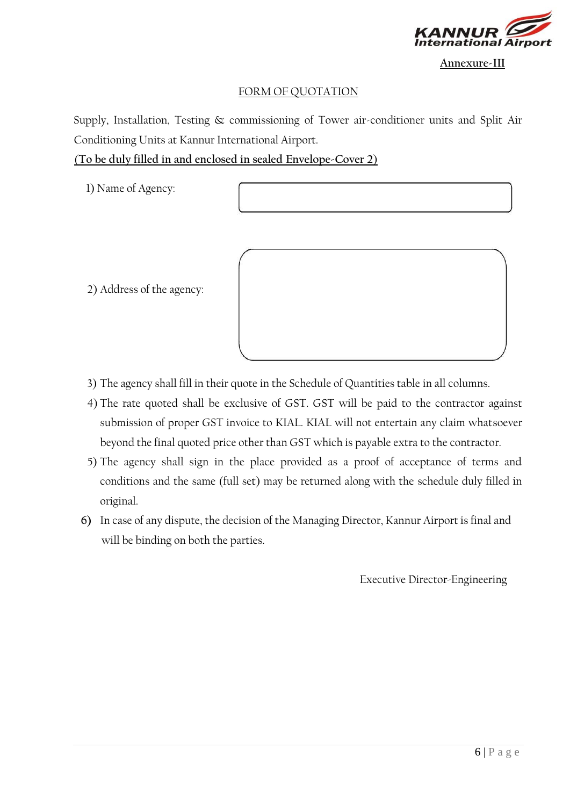

**Annexure-III**

# FORM OF QUOTATION

Supply, Installation, Testing & commissioning of Tower air-conditioner units and Split Air Conditioning Units at Kannur International Airport.

(**To be duly filled in and enclosed in sealed Envelope-Cover 2**)

1) Name of Agency:

- 2) Address of the agency:
- 3) The agency shall fill in their quote in the Schedule of Quantities table in all columns.
- 4) The rate quoted shall be exclusive of GST. GST will be paid to the contractor against submission of proper GST invoice to KIAL. KIAL will not entertain any claim whatsoever beyond the final quoted price other than GST which is payable extra to the contractor.
- 5) The agency shall sign in the place provided as a proof of acceptance of terms and conditions and the same (full set) may be returned along with the schedule duly filled in original.
- **6)** In case of any dispute, the decision of the Managing Director, Kannur Airport is final and will be binding on both the parties.

Executive Director-Engineering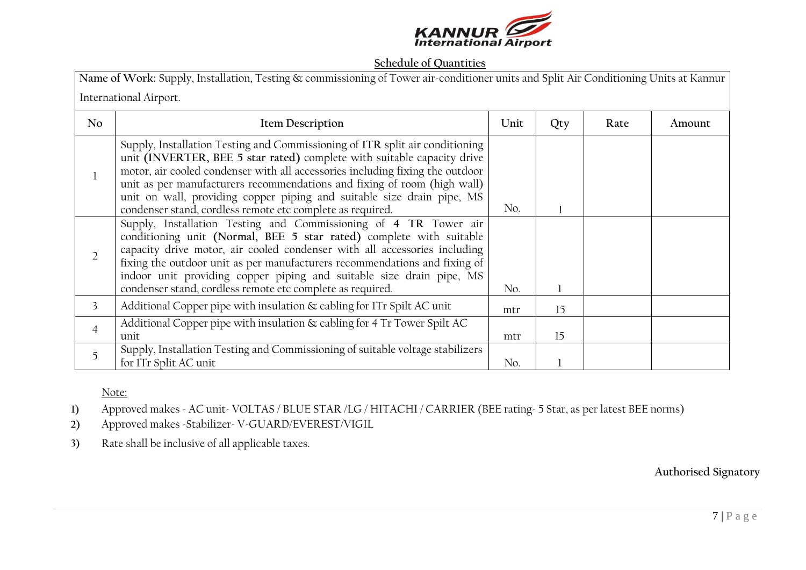

#### **Schedule of Quantities**

| Name of Work: Supply, Installation, Testing & commissioning of Tower air-conditioner units and Split Air Conditioning Units at Kannur |                                                                                                                                                                                                                                                                                                                                                                                                                                                              |      |     |      |        |  |
|---------------------------------------------------------------------------------------------------------------------------------------|--------------------------------------------------------------------------------------------------------------------------------------------------------------------------------------------------------------------------------------------------------------------------------------------------------------------------------------------------------------------------------------------------------------------------------------------------------------|------|-----|------|--------|--|
| International Airport.                                                                                                                |                                                                                                                                                                                                                                                                                                                                                                                                                                                              |      |     |      |        |  |
| N <sub>o</sub>                                                                                                                        | <b>Item Description</b>                                                                                                                                                                                                                                                                                                                                                                                                                                      | Unit | Qty | Rate | Amount |  |
|                                                                                                                                       | Supply, Installation Testing and Commissioning of ITR split air conditioning<br>unit (INVERTER, BEE 5 star rated) complete with suitable capacity drive<br>motor, air cooled condenser with all accessories including fixing the outdoor<br>unit as per manufacturers recommendations and fixing of room (high wall)<br>unit on wall, providing copper piping and suitable size drain pipe, MS<br>condenser stand, cordless remote etc complete as required. | No.  |     |      |        |  |
| $\overline{2}$                                                                                                                        | Supply, Installation Testing and Commissioning of 4 TR Tower air<br>conditioning unit (Normal, BEE 5 star rated) complete with suitable<br>capacity drive motor, air cooled condenser with all accessories including<br>fixing the outdoor unit as per manufacturers recommendations and fixing of<br>indoor unit providing copper piping and suitable size drain pipe, MS<br>condenser stand, cordless remote etc complete as required.                     | No.  |     |      |        |  |
| 3                                                                                                                                     | Additional Copper pipe with insulation & cabling for ITr Spilt AC unit                                                                                                                                                                                                                                                                                                                                                                                       | mtr  | 15  |      |        |  |
| 4                                                                                                                                     | Additional Copper pipe with insulation & cabling for 4 Tr Tower Spilt AC<br>unit                                                                                                                                                                                                                                                                                                                                                                             | mtr  | 15  |      |        |  |
| 5                                                                                                                                     | Supply, Installation Testing and Commissioning of suitable voltage stabilizers<br>for ITr Split AC unit                                                                                                                                                                                                                                                                                                                                                      | No.  |     |      |        |  |

Note:

**1)** Approved makes - AC unit- VOLTAS / BLUE STAR /LG / HITACHI / CARRIER (BEE rating- 5 Star, as per latest BEE norms)

**2)** Approved makes -Stabilizer- V-GUARD/EVEREST/VIGIL

**3)** Rate shall be inclusive of all applicable taxes.

**Authorised Signatory**